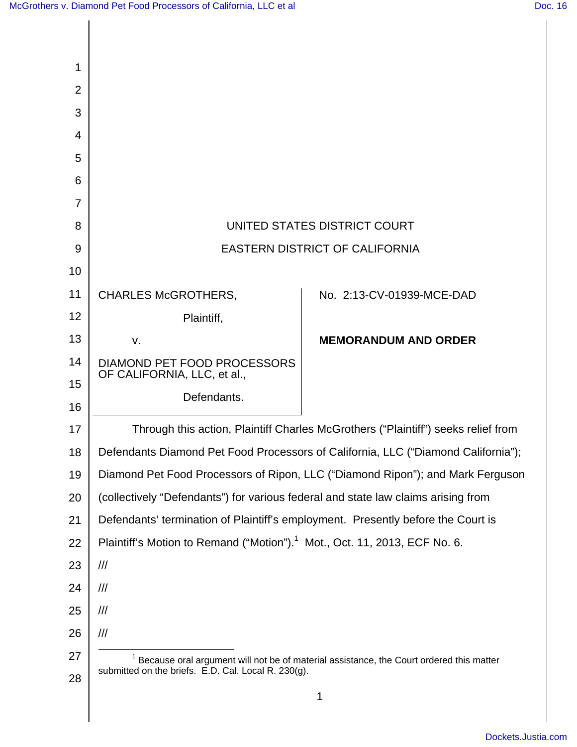| 1              |                                                                                                                                                |                             |
|----------------|------------------------------------------------------------------------------------------------------------------------------------------------|-----------------------------|
| $\overline{2}$ |                                                                                                                                                |                             |
| 3              |                                                                                                                                                |                             |
| 4              |                                                                                                                                                |                             |
| 5              |                                                                                                                                                |                             |
| 6              |                                                                                                                                                |                             |
| $\overline{7}$ |                                                                                                                                                |                             |
| 8              | UNITED STATES DISTRICT COURT                                                                                                                   |                             |
| 9              | <b>EASTERN DISTRICT OF CALIFORNIA</b>                                                                                                          |                             |
| 10             |                                                                                                                                                |                             |
| 11             | <b>CHARLES McGROTHERS,</b>                                                                                                                     | No. 2:13-CV-01939-MCE-DAD   |
| 12             | Plaintiff,                                                                                                                                     |                             |
| 13             | V.                                                                                                                                             | <b>MEMORANDUM AND ORDER</b> |
| 14             | DIAMOND PET FOOD PROCESSORS<br>OF CALIFORNIA, LLC, et al.,                                                                                     |                             |
| 15             | Defendants.                                                                                                                                    |                             |
| 16             |                                                                                                                                                |                             |
| 17             | Through this action, Plaintiff Charles McGrothers ("Plaintiff") seeks relief from                                                              |                             |
| 18             | Defendants Diamond Pet Food Processors of California, LLC ("Diamond California");                                                              |                             |
| 19             | Diamond Pet Food Processors of Ripon, LLC ("Diamond Ripon"); and Mark Ferguson                                                                 |                             |
| 20             | (collectively "Defendants") for various federal and state law claims arising from                                                              |                             |
| 21             | Defendants' termination of Plaintiff's employment. Presently before the Court is                                                               |                             |
| 22             | Plaintiff's Motion to Remand ("Motion"). <sup>1</sup> Mot., Oct. 11, 2013, ECF No. 6.                                                          |                             |
| 23             | ///                                                                                                                                            |                             |
| 24             | $\frac{1}{1}$                                                                                                                                  |                             |
| 25             | $\frac{1}{1}$                                                                                                                                  |                             |
| 26             | $\frac{1}{2}$                                                                                                                                  |                             |
| 27             | Because oral argument will not be of material assistance, the Court ordered this matter<br>submitted on the briefs. E.D. Cal. Local R. 230(g). |                             |
| 28             |                                                                                                                                                | 1                           |
|                |                                                                                                                                                |                             |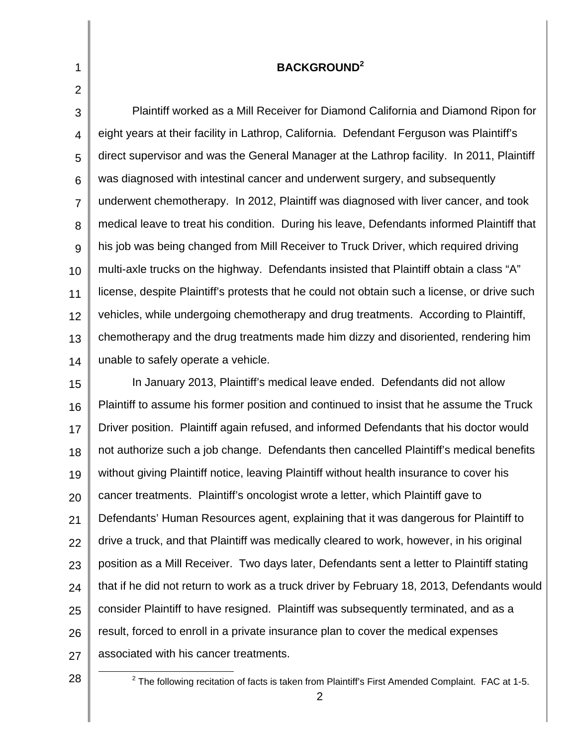## **BACKGROUND<sup>2</sup>**

3 4 5 6 7 8 9 10 11 12 13 14 Plaintiff worked as a Mill Receiver for Diamond California and Diamond Ripon for eight years at their facility in Lathrop, California. Defendant Ferguson was Plaintiff's direct supervisor and was the General Manager at the Lathrop facility. In 2011, Plaintiff was diagnosed with intestinal cancer and underwent surgery, and subsequently underwent chemotherapy. In 2012, Plaintiff was diagnosed with liver cancer, and took medical leave to treat his condition. During his leave, Defendants informed Plaintiff that his job was being changed from Mill Receiver to Truck Driver, which required driving multi-axle trucks on the highway. Defendants insisted that Plaintiff obtain a class "A" license, despite Plaintiff's protests that he could not obtain such a license, or drive such vehicles, while undergoing chemotherapy and drug treatments. According to Plaintiff, chemotherapy and the drug treatments made him dizzy and disoriented, rendering him unable to safely operate a vehicle.

15 16 17 18 19 20 21 22 23 24 25 26 27 In January 2013, Plaintiff's medical leave ended. Defendants did not allow Plaintiff to assume his former position and continued to insist that he assume the Truck Driver position. Plaintiff again refused, and informed Defendants that his doctor would not authorize such a job change. Defendants then cancelled Plaintiff's medical benefits without giving Plaintiff notice, leaving Plaintiff without health insurance to cover his cancer treatments. Plaintiff's oncologist wrote a letter, which Plaintiff gave to Defendants' Human Resources agent, explaining that it was dangerous for Plaintiff to drive a truck, and that Plaintiff was medically cleared to work, however, in his original position as a Mill Receiver. Two days later, Defendants sent a letter to Plaintiff stating that if he did not return to work as a truck driver by February 18, 2013, Defendants would consider Plaintiff to have resigned. Plaintiff was subsequently terminated, and as a result, forced to enroll in a private insurance plan to cover the medical expenses associated with his cancer treatments.

28

l

1

 $2$  The following recitation of facts is taken from Plaintiff's First Amended Complaint. FAC at 1-5.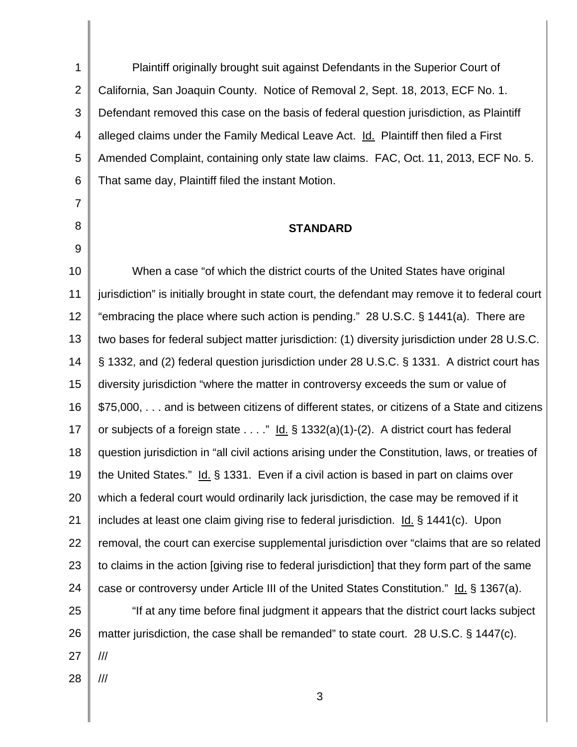1 2 3 4 5 6 Plaintiff originally brought suit against Defendants in the Superior Court of California, San Joaquin County. Notice of Removal 2, Sept. 18, 2013, ECF No. 1. Defendant removed this case on the basis of federal question jurisdiction, as Plaintiff alleged claims under the Family Medical Leave Act. Id. Plaintiff then filed a First Amended Complaint, containing only state law claims. FAC, Oct. 11, 2013, ECF No. 5. That same day, Plaintiff filed the instant Motion.

7

8

9

## **STANDARD**

10 11 12 13 14 15 16 17 18 19 20 21 22 23 24 25 26 27 28 When a case "of which the district courts of the United States have original jurisdiction" is initially brought in state court, the defendant may remove it to federal court "embracing the place where such action is pending." 28 U.S.C. § 1441(a). There are two bases for federal subject matter jurisdiction: (1) diversity jurisdiction under 28 U.S.C. § 1332, and (2) federal question jurisdiction under 28 U.S.C. § 1331. A district court has diversity jurisdiction "where the matter in controversy exceeds the sum or value of \$75,000, . . . and is between citizens of different states, or citizens of a State and citizens or subjects of a foreign state  $\dots$  " Id. § 1332(a)(1)-(2). A district court has federal question jurisdiction in "all civil actions arising under the Constitution, laws, or treaties of the United States." Id. § 1331. Even if a civil action is based in part on claims over which a federal court would ordinarily lack jurisdiction, the case may be removed if it includes at least one claim giving rise to federal jurisdiction. Id. § 1441(c). Upon removal, the court can exercise supplemental jurisdiction over "claims that are so related to claims in the action [giving rise to federal jurisdiction] that they form part of the same case or controversy under Article III of the United States Constitution." Id. § 1367(a). "If at any time before final judgment it appears that the district court lacks subject matter jurisdiction, the case shall be remanded" to state court. 28 U.S.C. § 1447(c). /// ///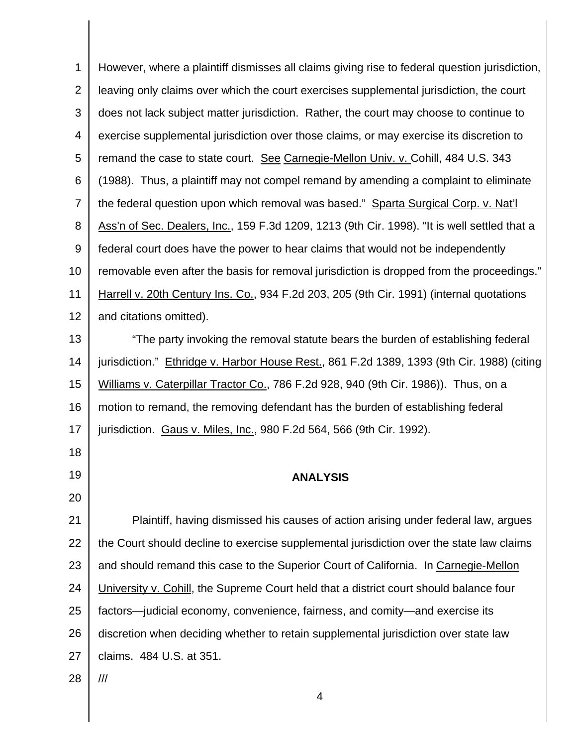1 2 3 4 5 6 7 8 9 10 11 12 13 14 15 16 17 18 19 20 21 22 23 24 25 26 27 28 However, where a plaintiff dismisses all claims giving rise to federal question jurisdiction, leaving only claims over which the court exercises supplemental jurisdiction, the court does not lack subject matter jurisdiction. Rather, the court may choose to continue to exercise supplemental jurisdiction over those claims, or may exercise its discretion to remand the case to state court. See Carnegie-Mellon Univ. v. Cohill, 484 U.S. 343 (1988). Thus, a plaintiff may not compel remand by amending a complaint to eliminate the federal question upon which removal was based." Sparta Surgical Corp. v. Nat'l Ass'n of Sec. Dealers, Inc., 159 F.3d 1209, 1213 (9th Cir. 1998). "It is well settled that a federal court does have the power to hear claims that would not be independently removable even after the basis for removal jurisdiction is dropped from the proceedings." Harrell v. 20th Century Ins. Co., 934 F.2d 203, 205 (9th Cir. 1991) (internal quotations and citations omitted). "The party invoking the removal statute bears the burden of establishing federal jurisdiction." Ethridge v. Harbor House Rest., 861 F.2d 1389, 1393 (9th Cir. 1988) (citing Williams v. Caterpillar Tractor Co., 786 F.2d 928, 940 (9th Cir. 1986)). Thus, on a motion to remand, the removing defendant has the burden of establishing federal jurisdiction. Gaus v. Miles, Inc., 980 F.2d 564, 566 (9th Cir. 1992). **ANALYSIS**  Plaintiff, having dismissed his causes of action arising under federal law, argues the Court should decline to exercise supplemental jurisdiction over the state law claims and should remand this case to the Superior Court of California. In Carnegie-Mellon University v. Cohill, the Supreme Court held that a district court should balance four factors—judicial economy, convenience, fairness, and comity—and exercise its discretion when deciding whether to retain supplemental jurisdiction over state law claims. 484 U.S. at 351. ///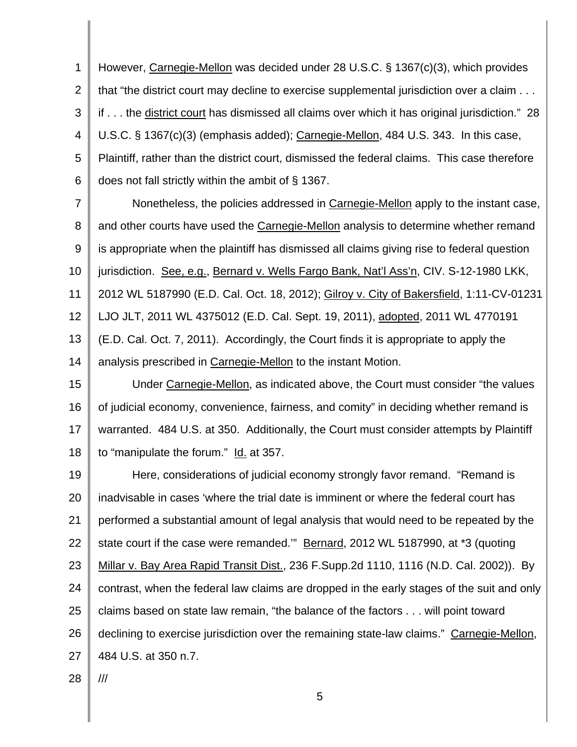1 2 3 4 5 6 However, Carnegie-Mellon was decided under 28 U.S.C. § 1367(c)(3), which provides that "the district court may decline to exercise supplemental jurisdiction over a claim . . . if . . . the district court has dismissed all claims over which it has original jurisdiction." 28 U.S.C. § 1367(c)(3) (emphasis added); Carnegie-Mellon, 484 U.S. 343. In this case, Plaintiff, rather than the district court, dismissed the federal claims. This case therefore does not fall strictly within the ambit of § 1367.

7 8 9 10 11 12 13 14 Nonetheless, the policies addressed in Carnegie-Mellon apply to the instant case, and other courts have used the Carnegie-Mellon analysis to determine whether remand is appropriate when the plaintiff has dismissed all claims giving rise to federal question jurisdiction. See, e.g., Bernard v. Wells Fargo Bank, Nat'l Ass'n, CIV. S-12-1980 LKK, 2012 WL 5187990 (E.D. Cal. Oct. 18, 2012); Gilroy v. City of Bakersfield, 1:11-CV-01231 LJO JLT, 2011 WL 4375012 (E.D. Cal. Sept. 19, 2011), adopted, 2011 WL 4770191 (E.D. Cal. Oct. 7, 2011). Accordingly, the Court finds it is appropriate to apply the analysis prescribed in Carnegie-Mellon to the instant Motion.

15 16 17 18 Under Carnegie-Mellon, as indicated above, the Court must consider "the values of judicial economy, convenience, fairness, and comity" in deciding whether remand is warranted. 484 U.S. at 350. Additionally, the Court must consider attempts by Plaintiff to "manipulate the forum." Id. at 357.

19 20 21 22 23 24 25 26 27 Here, considerations of judicial economy strongly favor remand. "Remand is inadvisable in cases 'where the trial date is imminent or where the federal court has performed a substantial amount of legal analysis that would need to be repeated by the state court if the case were remanded." Bernard, 2012 WL 5187990, at \*3 (quoting Millar v. Bay Area Rapid Transit Dist., 236 F.Supp.2d 1110, 1116 (N.D. Cal. 2002)). By contrast, when the federal law claims are dropped in the early stages of the suit and only claims based on state law remain, "the balance of the factors . . . will point toward declining to exercise jurisdiction over the remaining state-law claims." Carnegie-Mellon, 484 U.S. at 350 n.7.

28

///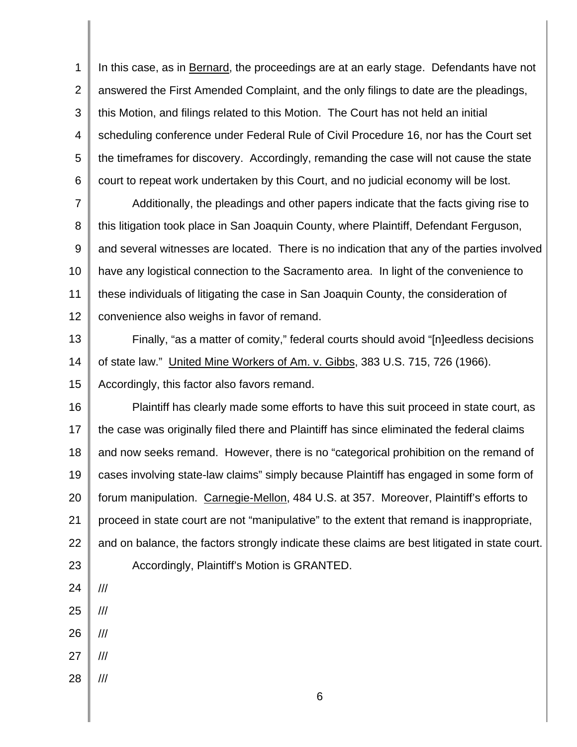1 2 3 4 5 6 In this case, as in Bernard, the proceedings are at an early stage. Defendants have not answered the First Amended Complaint, and the only filings to date are the pleadings, this Motion, and filings related to this Motion. The Court has not held an initial scheduling conference under Federal Rule of Civil Procedure 16, nor has the Court set the timeframes for discovery. Accordingly, remanding the case will not cause the state court to repeat work undertaken by this Court, and no judicial economy will be lost.

7 8 9 10 11 12 Additionally, the pleadings and other papers indicate that the facts giving rise to this litigation took place in San Joaquin County, where Plaintiff, Defendant Ferguson, and several witnesses are located. There is no indication that any of the parties involved have any logistical connection to the Sacramento area. In light of the convenience to these individuals of litigating the case in San Joaquin County, the consideration of convenience also weighs in favor of remand.

13 14 15 Finally, "as a matter of comity," federal courts should avoid "[n]eedless decisions of state law." United Mine Workers of Am. v. Gibbs, 383 U.S. 715, 726 (1966). Accordingly, this factor also favors remand.

16 17 18 19 20 21 22 23 Plaintiff has clearly made some efforts to have this suit proceed in state court, as the case was originally filed there and Plaintiff has since eliminated the federal claims and now seeks remand. However, there is no "categorical prohibition on the remand of cases involving state-law claims" simply because Plaintiff has engaged in some form of forum manipulation. Carnegie-Mellon, 484 U.S. at 357. Moreover, Plaintiff's efforts to proceed in state court are not "manipulative" to the extent that remand is inappropriate, and on balance, the factors strongly indicate these claims are best litigated in state court. Accordingly, Plaintiff's Motion is GRANTED.

- 24
- 25 ///

///

- 26 ///
- 27 ///
- 28 ///